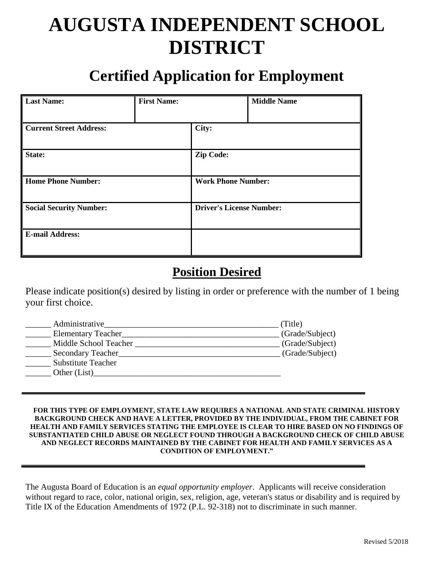# **AUGUSTA INDEPENDENT SCHOOL DISTRICT**

## **Certified Application for Employment**

| <b>Last Name:</b>              | <b>First Name:</b> |                                 | <b>Middle Name</b> |
|--------------------------------|--------------------|---------------------------------|--------------------|
|                                |                    |                                 |                    |
| <b>Current Street Address:</b> |                    | City:                           |                    |
|                                |                    |                                 |                    |
| State:                         |                    | <b>Zip Code:</b>                |                    |
|                                |                    |                                 |                    |
| <b>Home Phone Number:</b>      |                    | <b>Work Phone Number:</b>       |                    |
| <b>Social Security Number:</b> |                    | <b>Driver's License Number:</b> |                    |
| <b>E-mail Address:</b>         |                    |                                 |                    |

## **Position Desired**

Please indicate position(s) desired by listing in order or preference with the number of 1 being your first choice.

| Administrative            | (Title)         |
|---------------------------|-----------------|
| <b>Elementary Teacher</b> | (Grade/Subject) |
| Middle School Teacher     | (Grade/Subject) |
| Secondary Teacher         | (Grade/Subject) |
| <b>Substitute Teacher</b> |                 |
| Other (List)              |                 |
|                           |                 |

#### **FOR THIS TYPE OF EMPLOYMENT, STATE LAW REQUIRES A NATIONAL AND STATE CRIMINAL HISTORY BACKGROUND CHECK AND HAVE A LETTER, PROVIDED BY THE INDIVIDUAL, FROM THE CABINET FOR HEALTH AND FAMILY SERVICES STATING THE EMPLOYEE IS CLEAR TO HIRE BASED ON NO FINDINGS OF SUBSTANTIATED CHILD ABUSE OR NEGLECT FOUND THROUGH A BACKGROUND CHECK OF CHILD ABUSE AND NEGLECT RECORDS MAINTAINED BY THE CABINET FOR HEALTH AND FAMILY SERVICES AS A CONDITION OF EMPLOYMENT."**

The Augusta Board of Education is an *equal opportunity employer*. Applicants will receive consideration without regard to race, color, national origin, sex, religion, age, veteran's status or disability and is required by Title IX of the Education Amendments of 1972 (P.L. 92-318) not to discriminate in such manner.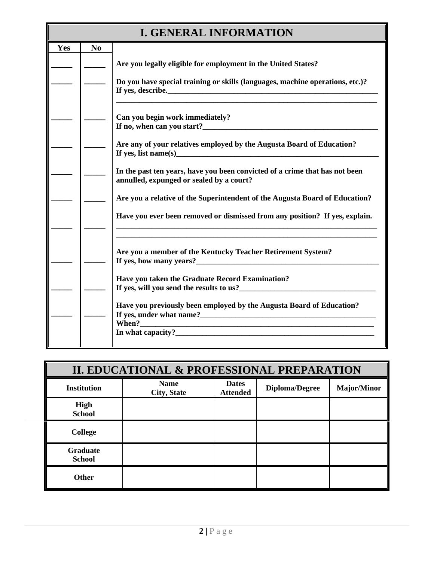|     |          | <b>I. GENERAL INFORMATION</b>                                                                                                                                                                                   |
|-----|----------|-----------------------------------------------------------------------------------------------------------------------------------------------------------------------------------------------------------------|
| Yes | $\bf No$ |                                                                                                                                                                                                                 |
|     |          | Are you legally eligible for employment in the United States?                                                                                                                                                   |
|     |          | Do you have special training or skills (languages, machine operations, etc.)?                                                                                                                                   |
|     |          | Can you begin work immediately?<br>If no, when can you start?_______                                                                                                                                            |
|     |          | Are any of your relatives employed by the Augusta Board of Education?                                                                                                                                           |
|     |          | In the past ten years, have you been convicted of a crime that has not been<br>annulled, expunged or sealed by a court?                                                                                         |
|     |          | Are you a relative of the Superintendent of the Augusta Board of Education?                                                                                                                                     |
|     |          | Have you ever been removed or dismissed from any position? If yes, explain.                                                                                                                                     |
|     |          | <u> 1989 - Johann Stoff, deutscher Stoff, der Stoff, der Stoff, der Stoff, der Stoff, der Stoff, der Stoff, der S</u><br>Are you a member of the Kentucky Teacher Retirement System?<br>If yes, how many years? |
|     |          | Have you taken the Graduate Record Examination?<br>If yes, will you send the results to us?                                                                                                                     |
|     |          | Have you previously been employed by the Augusta Board of Education?<br>If yes, under what name?                                                                                                                |

|                                  | II. EDUCATIONAL & PROFESSIONAL PREPARATION |                                 |                       |                    |  |
|----------------------------------|--------------------------------------------|---------------------------------|-----------------------|--------------------|--|
| <b>Institution</b>               | <b>Name</b><br><b>City, State</b>          | <b>Dates</b><br><b>Attended</b> | <b>Diploma/Degree</b> | <b>Major/Minor</b> |  |
| High<br><b>School</b>            |                                            |                                 |                       |                    |  |
| <b>College</b>                   |                                            |                                 |                       |                    |  |
| <b>Graduate</b><br><b>School</b> |                                            |                                 |                       |                    |  |
| <b>Other</b>                     |                                            |                                 |                       |                    |  |

**When?\_\_\_\_\_\_\_\_\_\_\_\_\_\_\_\_\_\_\_\_\_\_\_\_\_\_\_\_\_\_\_\_\_\_\_\_\_\_\_\_\_\_\_\_\_\_\_\_\_\_\_\_\_\_\_\_\_\_\_\_ In what capacity?\_\_\_\_\_\_\_\_\_\_\_\_\_\_\_\_\_\_\_\_\_\_\_\_\_\_\_\_\_\_\_\_\_\_\_\_\_\_\_\_\_\_\_\_\_\_\_\_\_\_\_**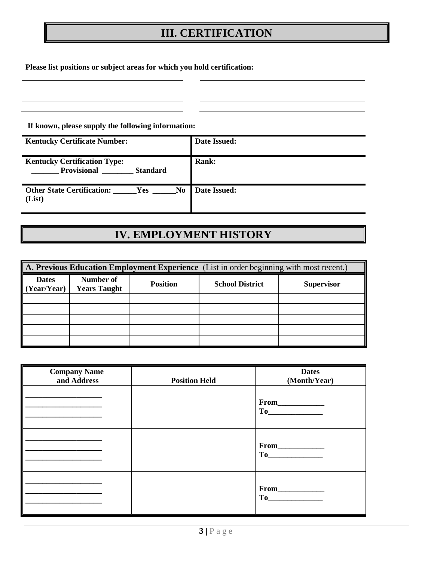## **III. CERTIFICATION**

**Please list positions or subject areas for which you hold certification:**

**If known, please supply the following information:**

| <b>Kentucky Certificate Number:</b>                                          | Date Issued: |
|------------------------------------------------------------------------------|--------------|
| <b>Kentucky Certification Type:</b><br><b>Provisional</b><br><b>Standard</b> | Rank:        |
| Other State Certification: Yes No<br>(List)                                  | Date Issued: |

## **IV. EMPLOYMENT HISTORY**

| A. Previous Education Employment Experience (List in order beginning with most recent.) |                                  |                 |                        |                   |
|-----------------------------------------------------------------------------------------|----------------------------------|-----------------|------------------------|-------------------|
| <b>Dates</b><br>(Year/Year)                                                             | Number of<br><b>Years Taught</b> | <b>Position</b> | <b>School District</b> | <b>Supervisor</b> |
|                                                                                         |                                  |                 |                        |                   |
|                                                                                         |                                  |                 |                        |                   |
|                                                                                         |                                  |                 |                        |                   |
|                                                                                         |                                  |                 |                        |                   |
|                                                                                         |                                  |                 |                        |                   |

| <b>Company Name</b><br>and Address | <b>Position Held</b> | <b>Dates</b><br>(Month/Year) |
|------------------------------------|----------------------|------------------------------|
|                                    |                      | $From \_\_$                  |
|                                    |                      | From                         |
|                                    |                      | $To$ and $\overline{a}$      |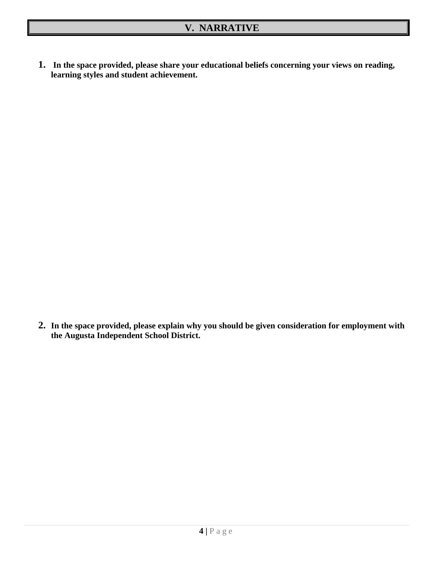**1. In the space provided, please share your educational beliefs concerning your views on reading, learning styles and student achievement.**

**2. In the space provided, please explain why you should be given consideration for employment with the Augusta Independent School District.**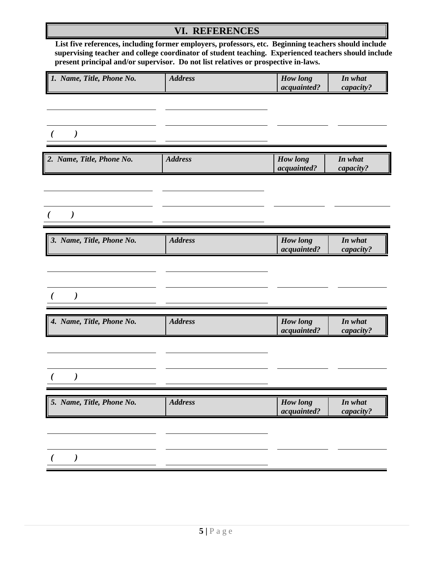### **VI. REFERENCES**

 **List five references, including former employers, professors, etc. Beginning teachers should include supervising teacher and college coordinator of student teaching. Experienced teachers should include present principal and/or supervisor. Do not list relatives or prospective in-laws.**

| 1. Name, Title, Phone No. | <b>Address</b> | <b>How</b> long<br>acquainted? | In what<br>capacity? |
|---------------------------|----------------|--------------------------------|----------------------|
|                           |                |                                |                      |
| $\lambda$                 |                |                                |                      |
| 2. Name, Title, Phone No. | <b>Address</b> | <b>How</b> long<br>acquainted? | In what<br>capacity? |
|                           |                |                                |                      |
| $\lambda$                 |                |                                |                      |
| 3. Name, Title, Phone No. | <b>Address</b> | How long<br>acquainted?        | In what<br>capacity? |
|                           |                |                                |                      |
|                           |                |                                |                      |
| 4. Name, Title, Phone No. | <b>Address</b> | <b>How long</b><br>acquainted? | In what<br>capacity? |
|                           |                |                                |                      |
|                           |                |                                |                      |
| 5. Name, Title, Phone No. | <b>Address</b> | <b>How long</b><br>acquainted? | In what<br>capacity? |
|                           |                |                                |                      |
|                           |                |                                |                      |